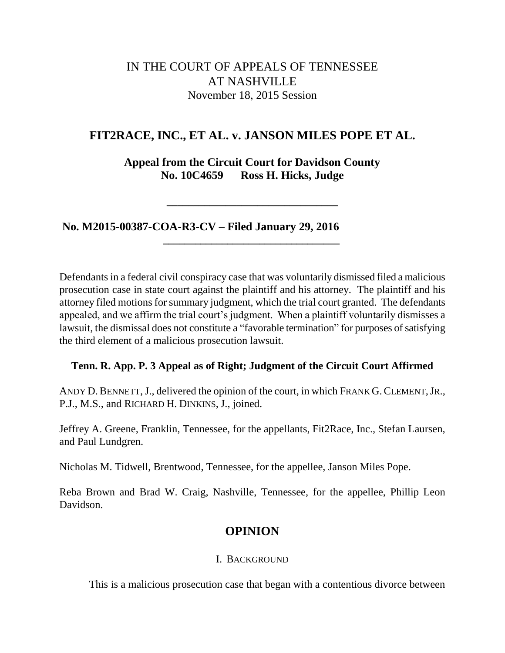# IN THE COURT OF APPEALS OF TENNESSEE AT NASHVILLE November 18, 2015 Session

## **FIT2RACE, INC., ET AL. v. JANSON MILES POPE ET AL.**

**Appeal from the Circuit Court for Davidson County No. 10C4659 Ross H. Hicks, Judge**

**\_\_\_\_\_\_\_\_\_\_\_\_\_\_\_\_\_\_\_\_\_\_\_\_\_\_\_\_\_\_\_\_**

**\_\_\_\_\_\_\_\_\_\_\_\_\_\_\_\_\_\_\_\_\_\_\_\_\_\_\_\_\_\_\_\_\_**

**No. M2015-00387-COA-R3-CV – Filed January 29, 2016**

Defendants in a federal civil conspiracy case that was voluntarily dismissed filed a malicious prosecution case in state court against the plaintiff and his attorney. The plaintiff and his attorney filed motions for summary judgment, which the trial court granted. The defendants appealed, and we affirm the trial court's judgment. When a plaintiff voluntarily dismisses a lawsuit, the dismissal does not constitute a "favorable termination" for purposes of satisfying the third element of a malicious prosecution lawsuit.

## **Tenn. R. App. P. 3 Appeal as of Right; Judgment of the Circuit Court Affirmed**

ANDY D. BENNETT, J., delivered the opinion of the court, in which FRANK G. CLEMENT, JR., P.J., M.S., and RICHARD H. DINKINS, J., joined.

Jeffrey A. Greene, Franklin, Tennessee, for the appellants, Fit2Race, Inc., Stefan Laursen, and Paul Lundgren.

Nicholas M. Tidwell, Brentwood, Tennessee, for the appellee, Janson Miles Pope.

Reba Brown and Brad W. Craig, Nashville, Tennessee, for the appellee, Phillip Leon Davidson.

# **OPINION**

## I. BACKGROUND

This is a malicious prosecution case that began with a contentious divorce between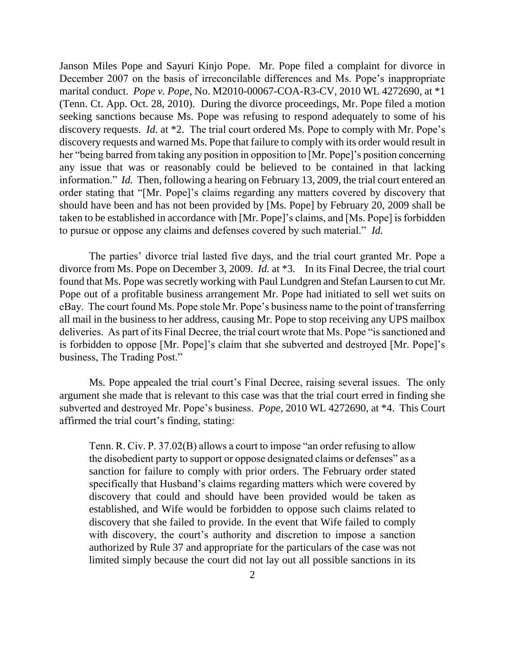Janson Miles Pope and Sayuri Kinjo Pope. Mr. Pope filed a complaint for divorce in December 2007 on the basis of irreconcilable differences and Ms. Pope's inappropriate marital conduct. *Pope v. Pope*, No. M2010-00067-COA-R3-CV, 2010 WL 4272690, at \*1 (Tenn. Ct. App. Oct. 28, 2010). During the divorce proceedings, Mr. Pope filed a motion seeking sanctions because Ms. Pope was refusing to respond adequately to some of his discovery requests. *Id.* at \*2. The trial court ordered Ms. Pope to comply with Mr. Pope's discovery requests and warned Ms. Pope that failure to comply with its order would result in her "being barred from taking any position in opposition to [Mr. Pope]'s position concerning any issue that was or reasonably could be believed to be contained in that lacking information." *Id.* Then, following a hearing on February 13, 2009, the trial court entered an order stating that "[Mr. Pope]'s claims regarding any matters covered by discovery that should have been and has not been provided by [Ms. Pope] by February 20, 2009 shall be taken to be established in accordance with [Mr. Pope]'s claims, and [Ms. Pope] is forbidden to pursue or oppose any claims and defenses covered by such material." *Id.*

The parties' divorce trial lasted five days, and the trial court granted Mr. Pope a divorce from Ms. Pope on December 3, 2009. *Id.* at \*3. In its Final Decree, the trial court found that Ms. Pope was secretly working with Paul Lundgren and Stefan Laursen to cut Mr. Pope out of a profitable business arrangement Mr. Pope had initiated to sell wet suits on eBay. The court found Ms. Pope stole Mr. Pope's business name to the point of transferring all mail in the business to her address, causing Mr. Pope to stop receiving any UPS mailbox deliveries. As part of its Final Decree, the trial court wrote that Ms. Pope "is sanctioned and is forbidden to oppose [Mr. Pope]'s claim that she subverted and destroyed [Mr. Pope]'s business, The Trading Post."

Ms. Pope appealed the trial court's Final Decree, raising several issues. The only argument she made that is relevant to this case was that the trial court erred in finding she subverted and destroyed Mr. Pope's business. *Pope*, 2010 WL 4272690, at \*4. This Court affirmed the trial court's finding, stating:

Tenn. R. Civ. P. 37.02(B) allows a court to impose "an order refusing to allow the disobedient party to support or oppose designated claims or defenses" as a sanction for failure to comply with prior orders. The February order stated specifically that Husband's claims regarding matters which were covered by discovery that could and should have been provided would be taken as established, and Wife would be forbidden to oppose such claims related to discovery that she failed to provide. In the event that Wife failed to comply with discovery, the court's authority and discretion to impose a sanction authorized by Rule 37 and appropriate for the particulars of the case was not limited simply because the court did not lay out all possible sanctions in its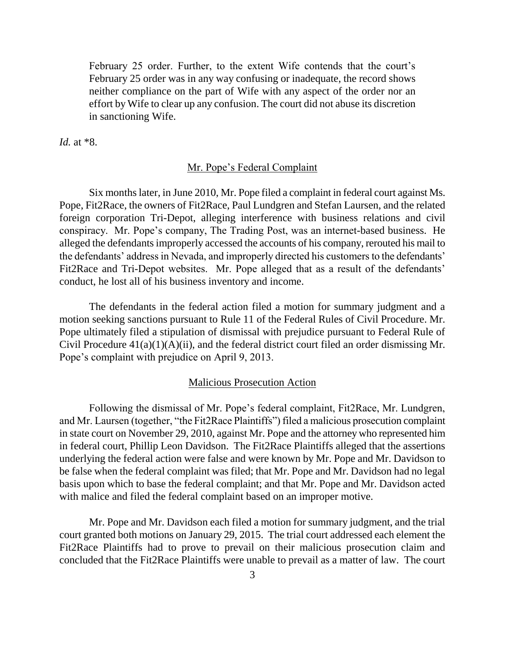February 25 order. Further, to the extent Wife contends that the court's February 25 order was in any way confusing or inadequate, the record shows neither compliance on the part of Wife with any aspect of the order nor an effort by Wife to clear up any confusion. The court did not abuse its discretion in sanctioning Wife.

*Id.* at \*8.

#### Mr. Pope's Federal Complaint

Six months later, in June 2010, Mr. Pope filed a complaint in federal court against Ms. Pope, Fit2Race, the owners of Fit2Race, Paul Lundgren and Stefan Laursen, and the related foreign corporation Tri-Depot, alleging interference with business relations and civil conspiracy. Mr. Pope's company, The Trading Post, was an internet-based business. He alleged the defendants improperly accessed the accounts of his company, rerouted his mail to the defendants' address in Nevada, and improperly directed his customers to the defendants' Fit2Race and Tri-Depot websites. Mr. Pope alleged that as a result of the defendants' conduct, he lost all of his business inventory and income.

The defendants in the federal action filed a motion for summary judgment and a motion seeking sanctions pursuant to Rule 11 of the Federal Rules of Civil Procedure. Mr. Pope ultimately filed a stipulation of dismissal with prejudice pursuant to Federal Rule of Civil Procedure 41(a)(1)(A)(ii), and the federal district court filed an order dismissing Mr. Pope's complaint with prejudice on April 9, 2013.

## Malicious Prosecution Action

Following the dismissal of Mr. Pope's federal complaint, Fit2Race, Mr. Lundgren, and Mr. Laursen (together, "the Fit2Race Plaintiffs") filed a malicious prosecution complaint in state court on November 29, 2010, against Mr. Pope and the attorney who represented him in federal court, Phillip Leon Davidson. The Fit2Race Plaintiffs alleged that the assertions underlying the federal action were false and were known by Mr. Pope and Mr. Davidson to be false when the federal complaint was filed; that Mr. Pope and Mr. Davidson had no legal basis upon which to base the federal complaint; and that Mr. Pope and Mr. Davidson acted with malice and filed the federal complaint based on an improper motive.

Mr. Pope and Mr. Davidson each filed a motion for summary judgment, and the trial court granted both motions on January 29, 2015. The trial court addressed each element the Fit2Race Plaintiffs had to prove to prevail on their malicious prosecution claim and concluded that the Fit2Race Plaintiffs were unable to prevail as a matter of law. The court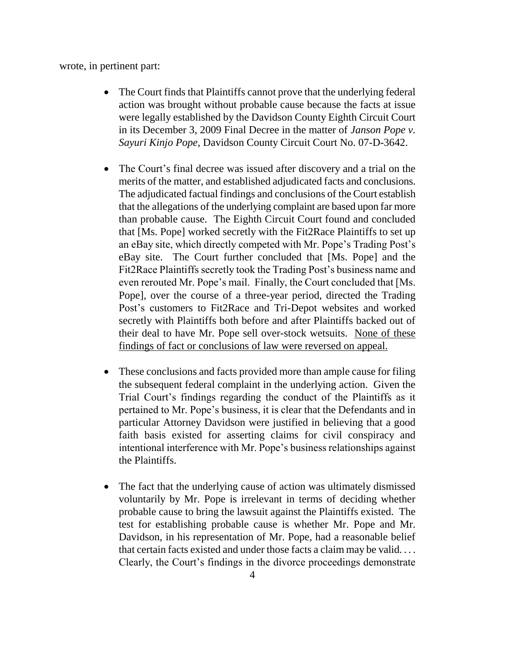wrote, in pertinent part:

- The Court finds that Plaintiffs cannot prove that the underlying federal action was brought without probable cause because the facts at issue were legally established by the Davidson County Eighth Circuit Court in its December 3, 2009 Final Decree in the matter of *Janson Pope v. Sayuri Kinjo Pope*, Davidson County Circuit Court No. 07-D-3642.
- The Court's final decree was issued after discovery and a trial on the merits of the matter, and established adjudicated facts and conclusions. The adjudicated factual findings and conclusions of the Court establish that the allegations of the underlying complaint are based upon far more than probable cause. The Eighth Circuit Court found and concluded that [Ms. Pope] worked secretly with the Fit2Race Plaintiffs to set up an eBay site, which directly competed with Mr. Pope's Trading Post's eBay site. The Court further concluded that [Ms. Pope] and the Fit2Race Plaintiffs secretly took the Trading Post's business name and even rerouted Mr. Pope's mail. Finally, the Court concluded that [Ms. Pope], over the course of a three-year period, directed the Trading Post's customers to Fit2Race and Tri-Depot websites and worked secretly with Plaintiffs both before and after Plaintiffs backed out of their deal to have Mr. Pope sell over-stock wetsuits. None of these findings of fact or conclusions of law were reversed on appeal.
- These conclusions and facts provided more than ample cause for filing the subsequent federal complaint in the underlying action. Given the Trial Court's findings regarding the conduct of the Plaintiffs as it pertained to Mr. Pope's business, it is clear that the Defendants and in particular Attorney Davidson were justified in believing that a good faith basis existed for asserting claims for civil conspiracy and intentional interference with Mr. Pope's business relationships against the Plaintiffs.
- The fact that the underlying cause of action was ultimately dismissed voluntarily by Mr. Pope is irrelevant in terms of deciding whether probable cause to bring the lawsuit against the Plaintiffs existed. The test for establishing probable cause is whether Mr. Pope and Mr. Davidson, in his representation of Mr. Pope, had a reasonable belief that certain facts existed and under those facts a claim may be valid. . . . Clearly, the Court's findings in the divorce proceedings demonstrate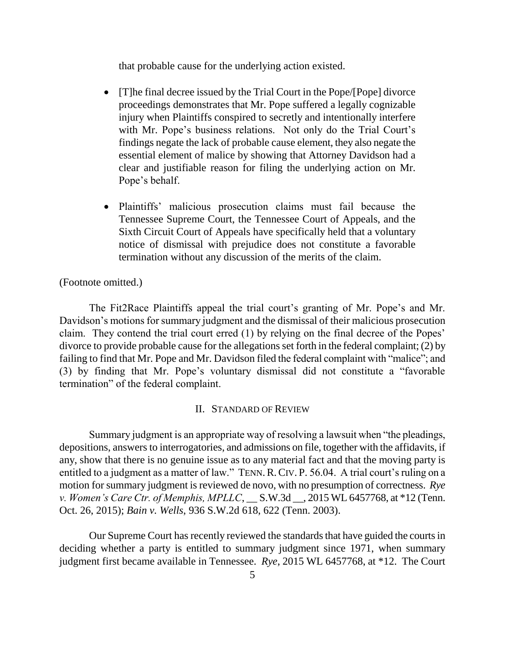that probable cause for the underlying action existed.

- [T]he final decree issued by the Trial Court in the Pope/[Pope] divorce proceedings demonstrates that Mr. Pope suffered a legally cognizable injury when Plaintiffs conspired to secretly and intentionally interfere with Mr. Pope's business relations. Not only do the Trial Court's findings negate the lack of probable cause element, they also negate the essential element of malice by showing that Attorney Davidson had a clear and justifiable reason for filing the underlying action on Mr. Pope's behalf.
- Plaintiffs' malicious prosecution claims must fail because the Tennessee Supreme Court, the Tennessee Court of Appeals, and the Sixth Circuit Court of Appeals have specifically held that a voluntary notice of dismissal with prejudice does not constitute a favorable termination without any discussion of the merits of the claim.

(Footnote omitted.)

The Fit2Race Plaintiffs appeal the trial court's granting of Mr. Pope's and Mr. Davidson's motions for summary judgment and the dismissal of their malicious prosecution claim. They contend the trial court erred (1) by relying on the final decree of the Popes' divorce to provide probable cause for the allegations set forth in the federal complaint; (2) by failing to find that Mr. Pope and Mr. Davidson filed the federal complaint with "malice"; and (3) by finding that Mr. Pope's voluntary dismissal did not constitute a "favorable termination" of the federal complaint.

#### II. STANDARD OF REVIEW

Summary judgment is an appropriate way of resolving a lawsuit when "the pleadings, depositions, answers to interrogatories, and admissions on file, together with the affidavits, if any, show that there is no genuine issue as to any material fact and that the moving party is entitled to a judgment as a matter of law." TENN. R. CIV. P. 56.04. A trial court's ruling on a motion for summary judgment is reviewed de novo, with no presumption of correctness. *Rye v. Women's Care Ctr. of Memphis, MPLLC*, \_\_ S.W.3d \_\_, 2015 WL 6457768, at \*12 (Tenn. Oct. 26, 2015); *Bain v. Wells*, 936 S.W.2d 618, 622 (Tenn. 2003).

Our Supreme Court has recently reviewed the standards that have guided the courts in deciding whether a party is entitled to summary judgment since 1971, when summary judgment first became available in Tennessee. *Rye*, 2015 WL 6457768, at \*12. The Court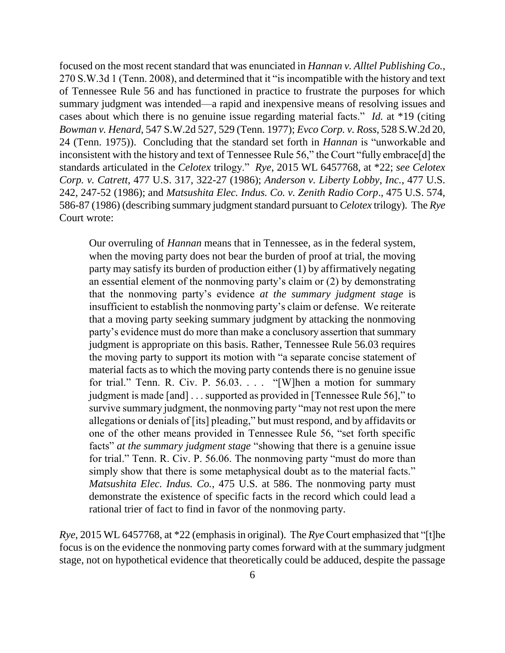focused on the most recent standard that was enunciated in *Hannan v. Alltel Publishing Co.*, 270 S.W.3d 1 (Tenn. 2008), and determined that it "is incompatible with the history and text of Tennessee Rule 56 and has functioned in practice to frustrate the purposes for which summary judgment was intended—a rapid and inexpensive means of resolving issues and cases about which there is no genuine issue regarding material facts." *Id.* at \*19 (citing *Bowman v. Henard*, 547 S.W.2d 527, 529 (Tenn. 1977); *Evco Corp. v. Ross*, 528 S.W.2d 20, 24 (Tenn. 1975)). Concluding that the standard set forth in *Hannan* is "unworkable and inconsistent with the history and text of Tennessee Rule 56," the Court "fully embrace[d] the standards articulated in the *Celotex* trilogy." *Rye*, 2015 WL 6457768, at \*22; *see Celotex Corp. v. Catrett*, 477 U.S. 317, 322-27 (1986); *Anderson v. Liberty Lobby, Inc.*, 477 U.S. 242, 247-52 (1986); and *Matsushita Elec. Indus. Co. v. Zenith Radio Corp*., 475 U.S. 574, 586-87 (1986) (describing summary judgment standard pursuant to *Celotex* trilogy). The *Rye* Court wrote:

Our overruling of *Hannan* means that in Tennessee, as in the federal system, when the moving party does not bear the burden of proof at trial, the moving party may satisfy its burden of production either (1) by affirmatively negating an essential element of the nonmoving party's claim or (2) by demonstrating that the nonmoving party's evidence *at the summary judgment stage* is insufficient to establish the nonmoving party's claim or defense. We reiterate that a moving party seeking summary judgment by attacking the nonmoving party's evidence must do more than make a conclusory assertion that summary judgment is appropriate on this basis. Rather, Tennessee Rule 56.03 requires the moving party to support its motion with "a separate concise statement of material facts as to which the moving party contends there is no genuine issue for trial." Tenn. R. Civ. P. 56.03. . . . "[W]hen a motion for summary judgment is made [and] . . . supported as provided in [Tennessee Rule 56]," to survive summary judgment, the nonmoving party "may not rest upon the mere allegations or denials of [its] pleading," but must respond, and by affidavits or one of the other means provided in Tennessee Rule 56, "set forth specific facts" *at the summary judgment stage* "showing that there is a genuine issue for trial." Tenn. R. Civ. P. 56.06. The nonmoving party "must do more than simply show that there is some metaphysical doubt as to the material facts." *Matsushita Elec. Indus. Co.*, 475 U.S. at 586. The nonmoving party must demonstrate the existence of specific facts in the record which could lead a rational trier of fact to find in favor of the nonmoving party.

*Rye*, 2015 WL 6457768, at \*22 (emphasis in original). The *Rye* Court emphasized that "[t]he focus is on the evidence the nonmoving party comes forward with at the summary judgment stage, not on hypothetical evidence that theoretically could be adduced, despite the passage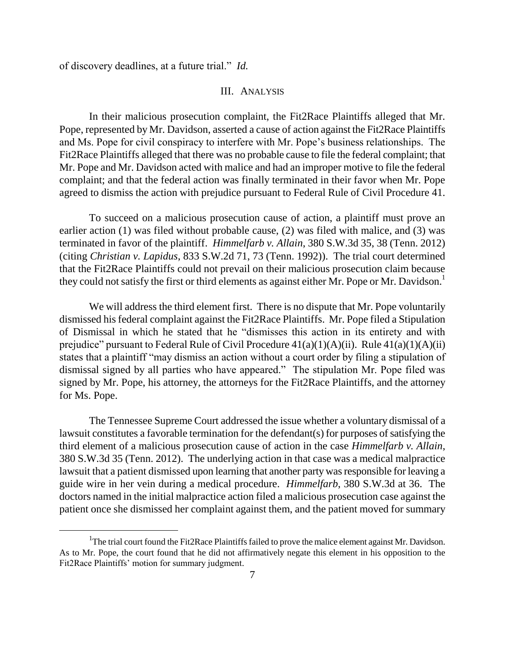of discovery deadlines, at a future trial." *Id.*

 $\overline{a}$ 

#### III. ANALYSIS

In their malicious prosecution complaint, the Fit2Race Plaintiffs alleged that Mr. Pope, represented by Mr. Davidson, asserted a cause of action against the Fit2Race Plaintiffs and Ms. Pope for civil conspiracy to interfere with Mr. Pope's business relationships. The Fit2Race Plaintiffs alleged that there was no probable cause to file the federal complaint; that Mr. Pope and Mr. Davidson acted with malice and had an improper motive to file the federal complaint; and that the federal action was finally terminated in their favor when Mr. Pope agreed to dismiss the action with prejudice pursuant to Federal Rule of Civil Procedure 41.

To succeed on a malicious prosecution cause of action, a plaintiff must prove an earlier action (1) was filed without probable cause, (2) was filed with malice, and (3) was terminated in favor of the plaintiff. *Himmelfarb v. Allain*, 380 S.W.3d 35, 38 (Tenn. 2012) (citing *Christian v. Lapidus*, 833 S.W.2d 71, 73 (Tenn. 1992)). The trial court determined that the Fit2Race Plaintiffs could not prevail on their malicious prosecution claim because they could not satisfy the first or third elements as against either Mr. Pope or Mr. Davidson.<sup>1</sup>

We will address the third element first. There is no dispute that Mr. Pope voluntarily dismissed his federal complaint against the Fit2Race Plaintiffs. Mr. Pope filed a Stipulation of Dismissal in which he stated that he "dismisses this action in its entirety and with prejudice" pursuant to Federal Rule of Civil Procedure  $41(a)(1)(A)(ii)$ . Rule  $41(a)(1)(A)(ii)$ states that a plaintiff "may dismiss an action without a court order by filing a stipulation of dismissal signed by all parties who have appeared." The stipulation Mr. Pope filed was signed by Mr. Pope, his attorney, the attorneys for the Fit2Race Plaintiffs, and the attorney for Ms. Pope.

The Tennessee Supreme Court addressed the issue whether a voluntary dismissal of a lawsuit constitutes a favorable termination for the defendant(s) for purposes of satisfying the third element of a malicious prosecution cause of action in the case *Himmelfarb v. Allain*, 380 S.W.3d 35 (Tenn. 2012). The underlying action in that case was a medical malpractice lawsuit that a patient dismissed upon learning that another party was responsible for leaving a guide wire in her vein during a medical procedure. *Himmelfarb*, 380 S.W.3d at 36. The doctors named in the initial malpractice action filed a malicious prosecution case against the patient once she dismissed her complaint against them, and the patient moved for summary

<sup>&</sup>lt;sup>1</sup>The trial court found the Fit2Race Plaintiffs failed to prove the malice element against Mr. Davidson. As to Mr. Pope, the court found that he did not affirmatively negate this element in his opposition to the Fit2Race Plaintiffs' motion for summary judgment.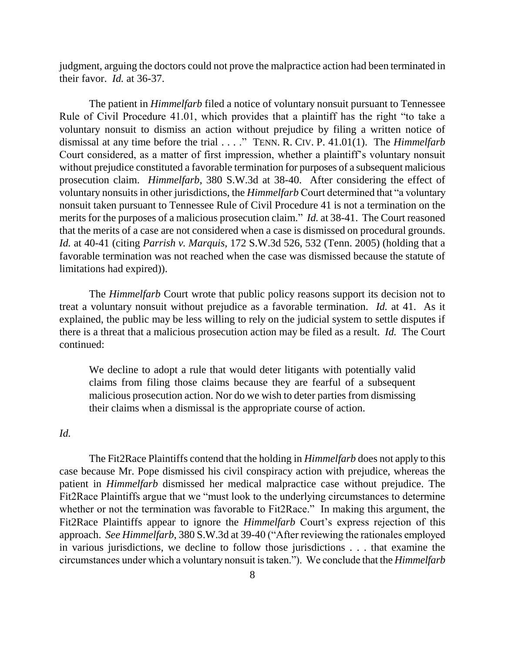judgment, arguing the doctors could not prove the malpractice action had been terminated in their favor. *Id.* at 36-37.

The patient in *Himmelfarb* filed a notice of voluntary nonsuit pursuant to Tennessee Rule of Civil Procedure 41.01, which provides that a plaintiff has the right "to take a voluntary nonsuit to dismiss an action without prejudice by filing a written notice of dismissal at any time before the trial . . . ." TENN. R. CIV. P. 41.01(1). The *Himmelfarb* Court considered, as a matter of first impression, whether a plaintiff's voluntary nonsuit without prejudice constituted a favorable termination for purposes of a subsequent malicious prosecution claim. *Himmelfarb*, 380 S.W.3d at 38-40. After considering the effect of voluntary nonsuits in other jurisdictions, the *Himmelfarb* Court determined that "a voluntary nonsuit taken pursuant to Tennessee Rule of Civil Procedure 41 is not a termination on the merits for the purposes of a malicious prosecution claim." *Id.* at 38-41. The Court reasoned that the merits of a case are not considered when a case is dismissed on procedural grounds. *Id.* at 40-41 (citing *Parrish v. Marquis*, 172 S.W.3d 526, 532 (Tenn. 2005) (holding that a favorable termination was not reached when the case was dismissed because the statute of limitations had expired)).

The *Himmelfarb* Court wrote that public policy reasons support its decision not to treat a voluntary nonsuit without prejudice as a favorable termination. *Id.* at 41. As it explained, the public may be less willing to rely on the judicial system to settle disputes if there is a threat that a malicious prosecution action may be filed as a result. *Id.* The Court continued:

We decline to adopt a rule that would deter litigants with potentially valid claims from filing those claims because they are fearful of a subsequent malicious prosecution action. Nor do we wish to deter parties from dismissing their claims when a dismissal is the appropriate course of action.

## *Id.*

The Fit2Race Plaintiffs contend that the holding in *Himmelfarb* does not apply to this case because Mr. Pope dismissed his civil conspiracy action with prejudice, whereas the patient in *Himmelfarb* dismissed her medical malpractice case without prejudice. The Fit2Race Plaintiffs argue that we "must look to the underlying circumstances to determine whether or not the termination was favorable to Fit2Race." In making this argument, the Fit2Race Plaintiffs appear to ignore the *Himmelfarb* Court's express rejection of this approach. *See Himmelfarb*, 380 S.W.3d at 39-40 ("After reviewing the rationales employed in various jurisdictions, we decline to follow those jurisdictions . . . that examine the circumstances under which a voluntary nonsuit is taken."). We conclude that the *Himmelfarb*